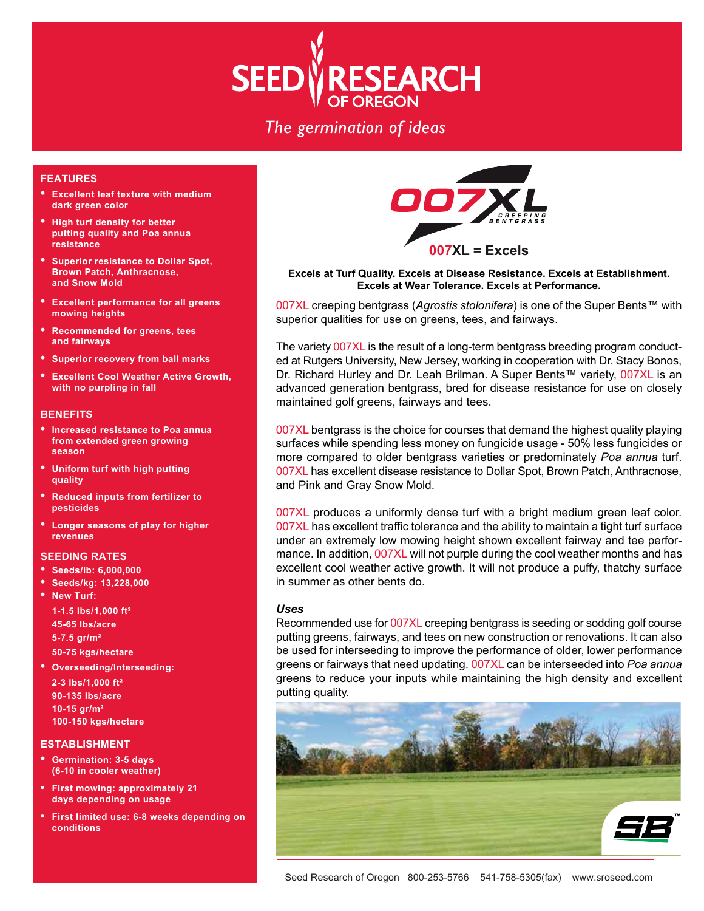

# The germination of ideas

## **FEATURES**

- **Excellent leaf texture with medium dark green color**
- **High turf density for better putting quality and Poa annua resistance**
- **Superior resistance to Dollar Spot, Brown Patch, Anthracnose, and Snow Mold**
- **Excellent performance for all greens mowing heights**
- **Recommended for greens, tees and fairways**
- **Superior recovery from ball marks**
- **• Excellent Cool Weather Active Growth, with no purpling in fall**

## **BENEFITS**

- **Increased resistance to Poa annua from extended green growing season**
- **Uniform turf with high putting quality**
- **Reduced inputs from fertilizer to pesticides**
- **Longer seasons of play for higher revenues**

### **SEEDING RATES**

- **Seeds/lb: 6,000,000**
- **Seeds/kg: 13,228,000**
- **New Turf:**

**1-1.5 lbs/1,000 ft² 45-65 lbs/acre 5-7.5 gr/m² 50-75 kgs/hectare**

**• Overseeding/Interseeding: 2-3 lbs/1,000 ft² 90-135 lbs/acre 10-15 gr/m² 100-150 kgs/hectare**

### **ESTABLISHMENT**

- **Germination: 3-5 days (6-10 in cooler weather)**
- **First mowing: approximately 21 days depending on usage**
- **First limited use: 6-8 weeks depending on conditions**



## **Excels at Turf Quality. Excels at Disease Resistance. Excels at Establishment. Excels at Wear Tolerance. Excels at Performance.**

007XL creeping bentgrass (*Agrostis stolonifera*) is one of the Super Bents™ with superior qualities for use on greens, tees, and fairways.

The variety 007XL is the result of a long-term bentgrass breeding program conducted at Rutgers University, New Jersey, working in cooperation with Dr. Stacy Bonos, Dr. Richard Hurley and Dr. Leah Brilman. A Super Bents™ variety, 007XL is an advanced generation bentgrass, bred for disease resistance for use on closely maintained golf greens, fairways and tees.

007XL bentgrass is the choice for courses that demand the highest quality playing surfaces while spending less money on fungicide usage - 50% less fungicides or more compared to older bentgrass varieties or predominately *Poa annua* turf. 007XL has excellent disease resistance to Dollar Spot, Brown Patch, Anthracnose, and Pink and Gray Snow Mold.

007XL produces a uniformly dense turf with a bright medium green leaf color. 007XL has excellent traffic tolerance and the ability to maintain a tight turf surface under an extremely low mowing height shown excellent fairway and tee performance. In addition, 007XL will not purple during the cool weather months and has excellent cool weather active growth. It will not produce a puffy, thatchy surface in summer as other bents do.

### *Uses*

Recommended use for 007XL creeping bentgrass is seeding or sodding golf course putting greens, fairways, and tees on new construction or renovations. It can also be used for interseeding to improve the performance of older, lower performance greens or fairways that need updating. 007XL can be interseeded into *Poa annua*  greens to reduce your inputs while maintaining the high density and excellent putting quality.